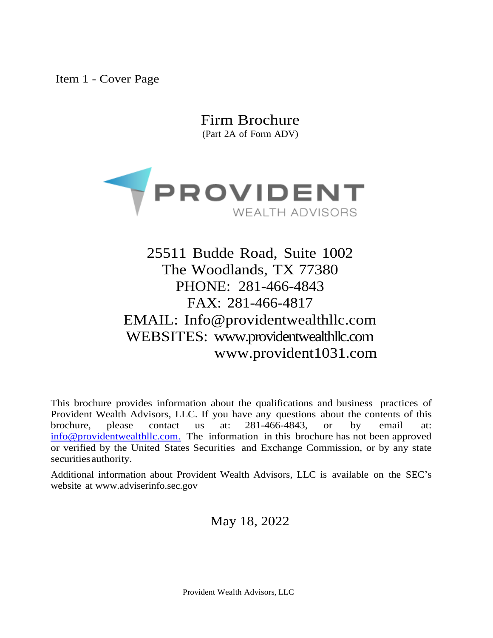<span id="page-0-0"></span>Item 1 - Cover Page

Firm Brochure (Part 2A of Form ADV)



25511 Budde Road, Suite 1002 The Woodlands, TX 77380 PHONE: 281-466-4843 FAX: 281-466-4817 EMAIL: [Info@providentwealthllc.com](mailto:Info@providentwealthllc.com) WEBSITES: [www.providentwealthllc.com](http://www.providentwealthllc.com/) www.provident1031.com

This brochure provides information about the qualifications and business practices of Provident Wealth Advisors, LLC. If you have any questions about the contents of this brochure, please contact us at: 281-466-4843, or by email at: [info@providentwealthllc.com.](mailto:info@providentwealthllc.com.) The information in this brochure has not been approved or verified by the United States Securities and Exchange Commission, or by any state securities authority.

Additional information about Provident Wealth Advisors, LLC is available on the SEC's website at [www.adviserinfo.sec.gov](http://www.adviserinfo.sec.gov/)

May 18, 2022

Provident Wealth Advisors, LLC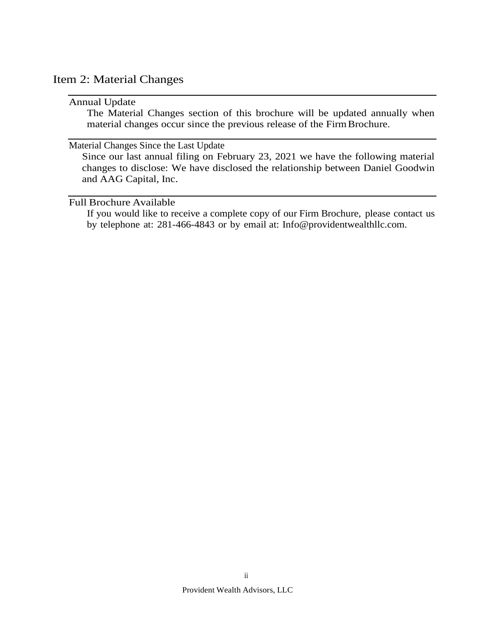# <span id="page-1-0"></span>Item 2: Material Changes

#### Annual Update

The Material Changes section of this brochure will be updated annually when material changes occur since the previous release of the Firm Brochure.

#### Material Changes Since the Last Update

Since our last annual filing on February 23, 2021 we have the following material changes to disclose: We have disclosed the relationship between Daniel Goodwin and AAG Capital, Inc.

#### Full Brochure Available

If you would like to receive a complete copy of our Firm Brochure, please contact us by telephone at: 281-466-4843 or by email at: [Info@providentwealthllc.com.](mailto:Info@providentwealthllc.com)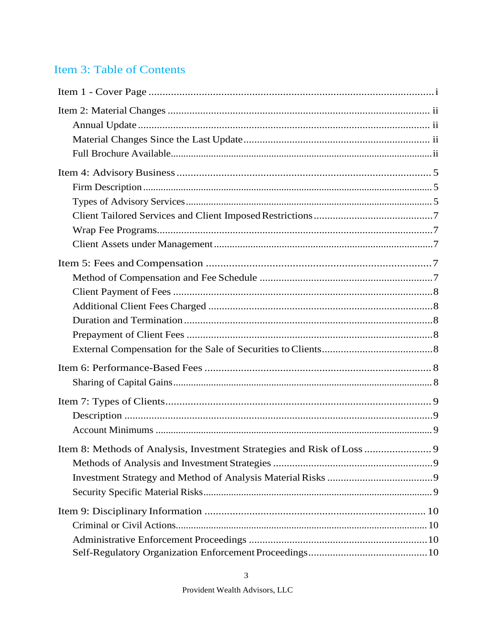# Item 3: Table of Contents

| Item 8: Methods of Analysis, Investment Strategies and Risk of Loss  9 |  |
|------------------------------------------------------------------------|--|
|                                                                        |  |
|                                                                        |  |
|                                                                        |  |
|                                                                        |  |
|                                                                        |  |
|                                                                        |  |
|                                                                        |  |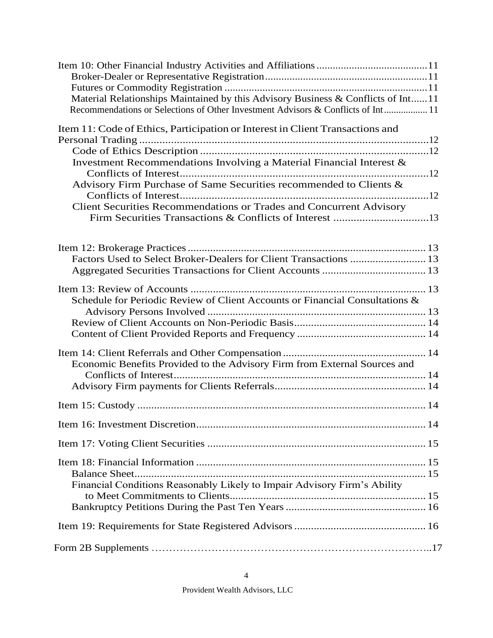| Material Relationships Maintained by this Advisory Business & Conflicts of Int11<br>Recommendations or Selections of Other Investment Advisors & Conflicts of Int 11                                                                                                                               |  |
|----------------------------------------------------------------------------------------------------------------------------------------------------------------------------------------------------------------------------------------------------------------------------------------------------|--|
| Item 11: Code of Ethics, Participation or Interest in Client Transactions and<br>Investment Recommendations Involving a Material Financial Interest &<br>Advisory Firm Purchase of Same Securities recommended to Clients &<br>Client Securities Recommendations or Trades and Concurrent Advisory |  |
| Factors Used to Select Broker-Dealers for Client Transactions  13                                                                                                                                                                                                                                  |  |
| Schedule for Periodic Review of Client Accounts or Financial Consultations &                                                                                                                                                                                                                       |  |
| Economic Benefits Provided to the Advisory Firm from External Sources and                                                                                                                                                                                                                          |  |
|                                                                                                                                                                                                                                                                                                    |  |
|                                                                                                                                                                                                                                                                                                    |  |
|                                                                                                                                                                                                                                                                                                    |  |
| Balance Sheet<br>Financial Conditions Reasonably Likely to Impair Advisory Firm's Ability                                                                                                                                                                                                          |  |
|                                                                                                                                                                                                                                                                                                    |  |
|                                                                                                                                                                                                                                                                                                    |  |
|                                                                                                                                                                                                                                                                                                    |  |

4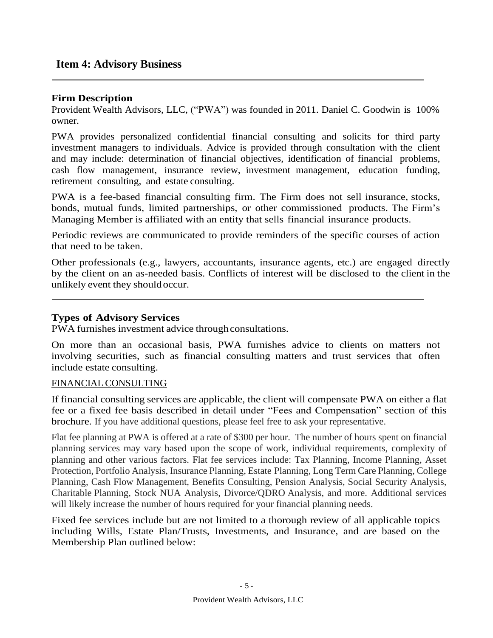# <span id="page-4-0"></span>**Item 4: Advisory Business**

### **Firm Description**

Provident Wealth Advisors, LLC, ("PWA") was founded in 2011. Daniel C. Goodwin is 100% owner.

PWA provides personalized confidential financial consulting and solicits for third party investment managers to individuals. Advice is provided through consultation with the client and may include: determination of financial objectives, identification of financial problems, cash flow management, insurance review, investment management, education funding, retirement consulting, and estate consulting.

PWA is a fee-based financial consulting firm. The Firm does not sell insurance, stocks, bonds, mutual funds, limited partnerships, or other commissioned products. The Firm's Managing Member is affiliated with an entity that sells financial insurance products.

Periodic reviews are communicated to provide reminders of the specific courses of action that need to be taken.

Other professionals (e.g., lawyers, accountants, insurance agents, etc.) are engaged directly by the client on an as-needed basis. Conflicts of interest will be disclosed to the client in the unlikely event they shouldoccur.

#### **Types of Advisory Services**

PWA furnishes investment advice through consultations.

On more than an occasional basis, PWA furnishes advice to clients on matters not involving securities, such as financial consulting matters and trust services that often include estate consulting.

#### FINANCIAL CONSULTING

If financial consulting services are applicable, the client will compensate PWA on either a flat fee or a fixed fee basis described in detail under "Fees and Compensation" section of this brochure. If you have additional questions, please feel free to ask your representative.

Flat fee planning at PWA is offered at a rate of \$300 per hour. The number of hours spent on financial planning services may vary based upon the scope of work, individual requirements, complexity of planning and other various factors. Flat fee services include: Tax Planning, Income Planning, Asset Protection, Portfolio Analysis, Insurance Planning, Estate Planning, Long Term Care Planning, College Planning, Cash Flow Management, Benefits Consulting, Pension Analysis, Social Security Analysis, Charitable Planning, Stock NUA Analysis, Divorce/QDRO Analysis, and more. Additional services will likely increase the number of hours required for your financial planning needs.

Fixed fee services include but are not limited to a thorough review of all applicable topics including Wills, Estate Plan/Trusts, Investments, and Insurance, and are based on the Membership Plan outlined below: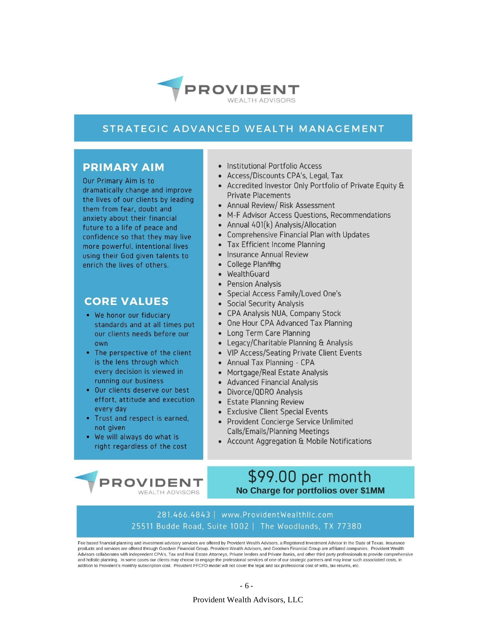

### STRATEGIC ADVANCED WEALTH MANAGEMENT

### **PRIMARY AIM**

Our Primary Aim is to dramatically change and improve the lives of our clients by leading them from fear, doubt and anxiety about their financial future to a life of peace and confidence so that they may live more powerful, intentional lives using their God given talents to enrich the lives of others.

### **CORE VALUES**

- We honor our fiduciary standards and at all times put our clients needs before our own
- The perspective of the client is the lens through which every decision is viewed in running our business
- . Our clients deserve our best effort, attitude and execution every day
- Trust and respect is earned, not given
- . We will always do what is right regardless of the cost

**PROVIDENT** 

**WEALTH ADVISORS** 

- Institutional Portfolio Access
- Access/Discounts CPA's, Legal, Tax
- Accredited Investor Only Portfolio of Private Equity & **Private Placements**
- Annual Review/ Risk Assessment
- M-F Advisor Access Questions, Recommendations
- Annual 401(k) Analysis/Allocation
- Comprehensive Financial Plan with Updates
- Tax Efficient Income Planning
- Insurance Annual Review
- College Planming
- WealthGuard
- Pension Analysis
- Special Access Family/Loved One's
- Social Security Analysis
- CPA Analysis NUA. Company Stock
- One Hour CPA Advanced Tax Planning
- Long Term Care Planning
- Legacy/Charitable Planning & Analysis
- VIP Access/Seating Private Client Events
- Annual Tax Planning CPA
- Mortgage/Real Estate Analysis
- Advanced Financial Analysis
- Divorce/QDRO Analysis
- Estate Planning Review
- Exclusive Client Special Events
- Provident Concierge Service Unlimited Calls/Emails/Planning Meetings
- Account Aggregation & Mobile Notifications

# \$99.00 per month No Charge for portfolios over \$1MM

#### 281.466.4843 | www.ProvidentWealthllc.com 25511 Budde Road, Suite 1002 | The Woodlands, TX 77380

Fee based financial planning and investment advisory services are offered by Provident Wealth Advisors, a Registered Investment Advisor in the State of Texas. Insurance products and services are offered through Goodwin Financial Group. Provident Wealth Advisors, and Goodwin Financial Group are affiliated companies. Provident Wealth Advisors collaborates with independent CPA's. Tax and Real Estate Attorneys, Private lenders and Private Banks, and other third party professionals to provide comprehensive and holistic planning. In some cases our clients may choose to engage the professional services of one of our strategic partners and may incur such associatied costs, in addition to Provident's monthly subscription cost. Provident FFCFO model will not cover the legal and tax professional cost of wills, tax returns, etc.

Provident Wealth Advisors, LLC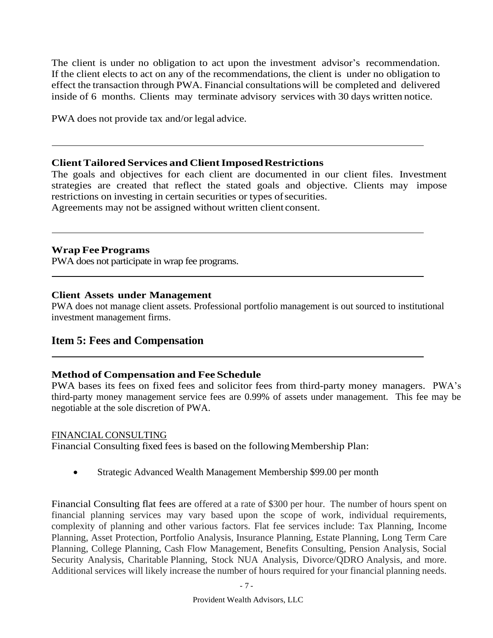The client is under no obligation to act upon the investment advisor's recommendation. If the client elects to act on any of the recommendations, the client is under no obligation to effect the transaction through PWA. Financial consultations will be completed and delivered inside of 6 months. Clients may terminate advisory services with 30 days written notice.

PWA does not provide tax and/or legal advice.

### **ClientTailored Services and ClientImposedRestrictions**

The goals and objectives for each client are documented in our client files. Investment strategies are created that reflect the stated goals and objective. Clients may impose restrictions on investing in certain securities or types of securities.

Agreements may not be assigned without written client consent.

### **Wrap FeePrograms**

PWA does not participate in wrap fee programs.

### **Client Assets under Management**

PWA does not manage client assets. Professional portfolio management is out sourced to institutional investment management firms.

# <span id="page-6-0"></span>**Item 5: Fees and Compensation**

### **Method of Compensation and Fee Schedule**

PWA bases its fees on fixed fees and solicitor fees from third-party money managers. PWA's third-party money management service fees are 0.99% of assets under management. This fee may be negotiable at the sole discretion of PWA.

### FINANCIAL CONSULTING

Financial Consulting fixed fees is based on the following Membership Plan:

• Strategic Advanced Wealth Management Membership \$99.00 per month

Financial Consulting flat fees are offered at a rate of \$300 per hour. The number of hours spent on financial planning services may vary based upon the scope of work, individual requirements, complexity of planning and other various factors. Flat fee services include: Tax Planning, Income Planning, Asset Protection, Portfolio Analysis, Insurance Planning, Estate Planning, Long Term Care Planning, College Planning, Cash Flow Management, Benefits Consulting, Pension Analysis, Social Security Analysis, Charitable Planning, Stock NUA Analysis, Divorce/QDRO Analysis, and more. Additional services will likely increase the number of hours required for your financial planning needs.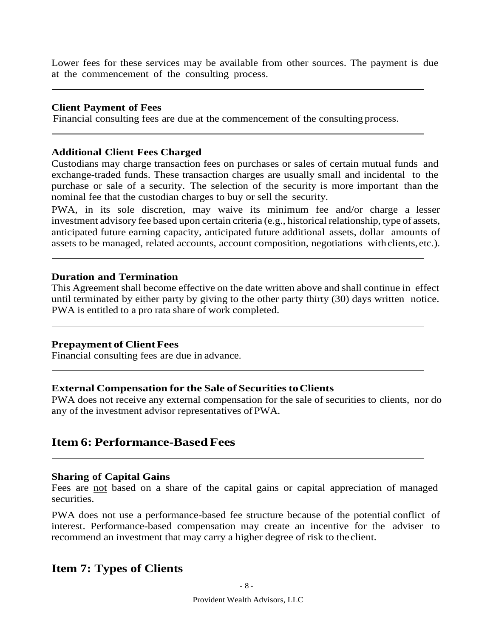Lower fees for these services may be available from other sources. The payment is due at the commencement of the consulting process.

#### **Client Payment of Fees**

Financial consulting fees are due at the commencement of the consulting process.

#### **Additional Client Fees Charged**

Custodians may charge transaction fees on purchases or sales of certain mutual funds and exchange-traded funds. These transaction charges are usually small and incidental to the purchase or sale of a security. The selection of the security is more important than the nominal fee that the custodian charges to buy or sell the security.

PWA, in its sole discretion, may waive its minimum fee and/or charge a lesser investment advisory fee based upon certain criteria (e.g., historical relationship, type of assets, anticipated future earning capacity, anticipated future additional assets, dollar amounts of assets to be managed, related accounts, account composition, negotiations withclients,etc.).

#### **Duration and Termination**

This Agreement shall become effective on the date written above and shall continue in effect until terminated by either party by giving to the other party thirty (30) days written notice. PWA is entitled to a pro rata share of work completed.

#### **Prepayment of ClientFees**

Financial consulting fees are due in advance.

#### **External Compensation for the Sale of Securities toClients**

PWA does not receive any external compensation for the sale of securities to clients, nor do any of the investment advisor representatives ofPWA.

# <span id="page-7-0"></span>**Item 6: Performance-Based Fees**

#### **Sharing of Capital Gains**

Fees are not based on a share of the capital gains or capital appreciation of managed securities.

PWA does not use a performance-based fee structure because of the potential conflict of interest. Performance-based compensation may create an incentive for the adviser to recommend an investment that may carry a higher degree of risk to theclient.

# <span id="page-7-1"></span>**Item 7: Types of Clients**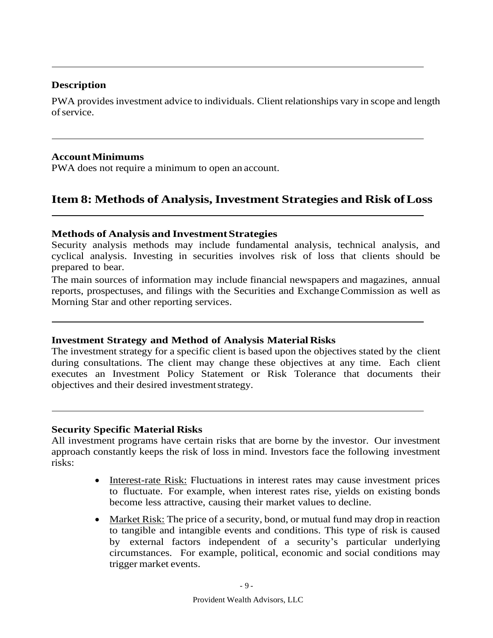### **Description**

PWA provides investment advice to individuals. Client relationships vary in scope and length ofservice.

### **AccountMinimums**

PWA does not require a minimum to open an account.

# <span id="page-8-0"></span>**Item 8: Methods of Analysis,Investment Strategies and Risk ofLoss**

### **Methods of Analysis and InvestmentStrategies**

Security analysis methods may include fundamental analysis, technical analysis, and cyclical analysis. Investing in securities involves risk of loss that clients should be prepared to bear.

The main sources of information may include financial newspapers and magazines, annual reports, prospectuses, and filings with the Securities and ExchangeCommission as well as Morning Star and other reporting services.

### **Investment Strategy and Method of Analysis Material Risks**

The investment strategy for a specific client is based upon the objectives stated by the client during consultations. The client may change these objectives at any time. Each client executes an Investment Policy Statement or Risk Tolerance that documents their objectives and their desired investmentstrategy.

### **Security Specific Material Risks**

All investment programs have certain risks that are borne by the investor. Our investment approach constantly keeps the risk of loss in mind. Investors face the following investment risks:

- Interest-rate Risk: Fluctuations in interest rates may cause investment prices to fluctuate. For example, when interest rates rise, yields on existing bonds become less attractive, causing their market values to decline.
- Market Risk: The price of a security, bond, or mutual fund may drop in reaction to tangible and intangible events and conditions. This type of risk is caused by external factors independent of a security's particular underlying circumstances. For example, political, economic and social conditions may trigger market events.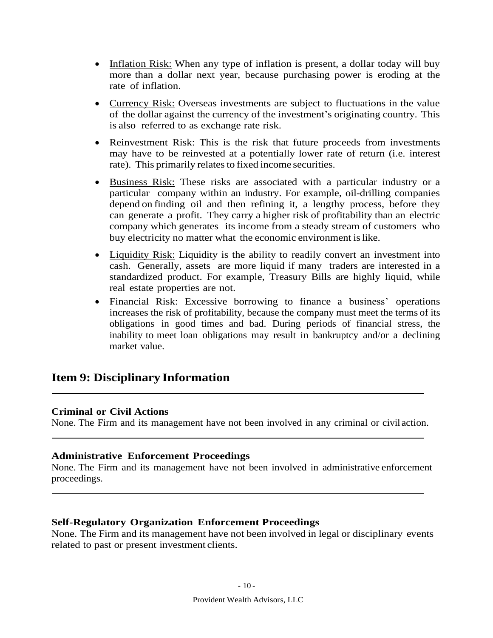- Inflation Risk: When any type of inflation is present, a dollar today will buy more than a dollar next year, because purchasing power is eroding at the rate of inflation.
- Currency Risk: Overseas investments are subject to fluctuations in the value of the dollar against the currency of the investment's originating country. This is also referred to as exchange rate risk.
- Reinvestment Risk: This is the risk that future proceeds from investments may have to be reinvested at a potentially lower rate of return (i.e. interest rate). This primarily relates to fixed income securities.
- Business Risk: These risks are associated with a particular industry or a particular company within an industry. For example, oil-drilling companies depend on finding oil and then refining it, a lengthy process, before they can generate a profit. They carry a higher risk of profitability than an electric company which generates its income from a steady stream of customers who buy electricity no matter what the economic environment is like.
- Liquidity Risk: Liquidity is the ability to readily convert an investment into cash. Generally, assets are more liquid if many traders are interested in a standardized product. For example, Treasury Bills are highly liquid, while real estate properties are not.
- Financial Risk: Excessive borrowing to finance a business' operations increases the risk of profitability, because the company must meet the terms of its obligations in good times and bad. During periods of financial stress, the inability to meet loan obligations may result in bankruptcy and/or a declining market value.

# <span id="page-9-0"></span>**Item 9: Disciplinary Information**

#### **Criminal or Civil Actions**

None. The Firm and its management have not been involved in any criminal or civil action.

### **Administrative Enforcement Proceedings**

None. The Firm and its management have not been involved in administrative enforcement proceedings.

#### **Self-Regulatory Organization Enforcement Proceedings**

<span id="page-9-1"></span>None. The Firm and its management have not been involved in legal or disciplinary events related to past or present investment clients.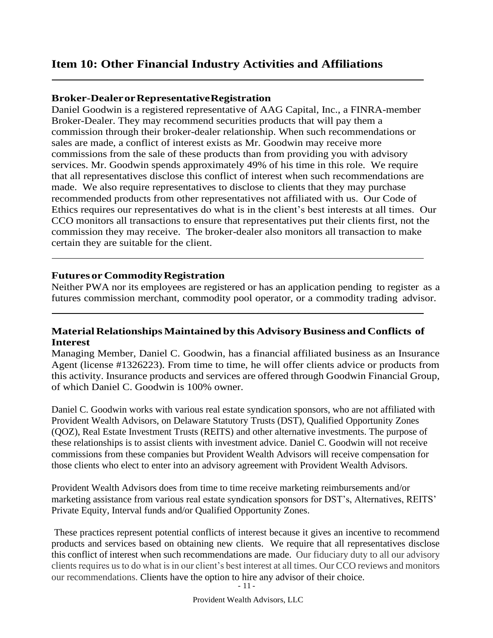# **Item 10: Other Financial Industry Activities and Affiliations**

### **Broker-DealerorRepresentativeRegistration**

Daniel Goodwin is a registered representative of AAG Capital, Inc., a FINRA-member Broker-Dealer. They may recommend securities products that will pay them a commission through their broker-dealer relationship. When such recommendations or sales are made, a conflict of interest exists as Mr. Goodwin may receive more commissions from the sale of these products than from providing you with advisory services. Mr. Goodwin spends approximately 49% of his time in this role. We require that all representatives disclose this conflict of interest when such recommendations are made. We also require representatives to disclose to clients that they may purchase recommended products from other representatives not affiliated with us. Our Code of Ethics requires our representatives do what is in the client's best interests at all times. Our CCO monitors all transactions to ensure that representatives put their clients first, not the commission they may receive. The broker-dealer also monitors all transaction to make certain they are suitable for the client.

### **Futures or CommodityRegistration**

Neither PWA nor its employees are registered or has an application pending to register as a futures commission merchant, commodity pool operator, or a commodity trading advisor.

### **Material Relationships Maintained by this AdvisoryBusiness and Conflicts of Interest**

Managing Member, Daniel C. Goodwin, has a financial affiliated business as an Insurance Agent (license #1326223). From time to time, he will offer clients advice or products from this activity. Insurance products and services are offered through Goodwin Financial Group, of which Daniel C. Goodwin is 100% owner.

Daniel C. Goodwin works with various real estate syndication sponsors, who are not affiliated with Provident Wealth Advisors, on Delaware Statutory Trusts (DST), Qualified Opportunity Zones (QOZ), Real Estate Investment Trusts (REITS) and other alternative investments. The purpose of these relationships is to assist clients with investment advice. Daniel C. Goodwin will not receive commissions from these companies but Provident Wealth Advisors will receive compensation for those clients who elect to enter into an advisory agreement with Provident Wealth Advisors.

Provident Wealth Advisors does from time to time receive marketing reimbursements and/or marketing assistance from various real estate syndication sponsors for DST's, Alternatives, REITS' Private Equity, Interval funds and/or Qualified Opportunity Zones.

These practices represent potential conflicts of interest because it gives an incentive to recommend products and services based on obtaining new clients. We require that all representatives disclose this conflict of interest when such recommendations are made. Our fiduciary duty to all our advisory clients requires us to do what is in our client's best interest at all times. Our CCO reviews and monitors our recommendations. Clients have the option to hire any advisor of their choice.

Provident Wealth Advisors, LLC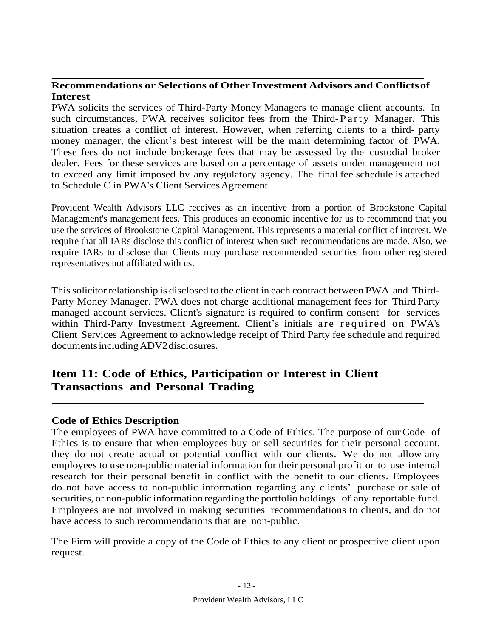### **Recommendations or Selections of Other Investment Advisors and Conflictsof Interest**

PWA solicits the services of Third-Party Money Managers to manage client accounts. In such circumstances, PWA receives solicitor fees from the Third-Party Manager. This situation creates a conflict of interest. However, when referring clients to a third- party money manager, the client's best interest will be the main determining factor of PWA. These fees do not include brokerage fees that may be assessed by the custodial broker dealer. Fees for these services are based on a percentage of assets under management not to exceed any limit imposed by any regulatory agency. The final fee schedule is attached to Schedule C in PWA's Client Services Agreement.

Provident Wealth Advisors LLC receives as an incentive from a portion of Brookstone Capital Management's management fees. This produces an economic incentive for us to recommend that you use the services of Brookstone Capital Management. This represents a material conflict of interest. We require that all IARs disclose this conflict of interest when such recommendations are made. Also, we require IARs to disclose that Clients may purchase recommended securities from other registered representatives not affiliated with us.

Thissolicitor relationship is disclosed to the client in each contract between PWA and Third-Party Money Manager. PWA does not charge additional management fees for Third Party managed account services. Client's signature is required to confirm consent for services within Third-Party Investment Agreement. Client's initials are required on PWA's Client Services Agreement to acknowledge receipt of Third Party fee schedule and required documentsincludingADV2disclosures.

# <span id="page-11-0"></span>**Item 11: Code of Ethics, Participation or Interest in Client Transactions and Personal Trading**

### **Code of Ethics Description**

The employees of PWA have committed to a Code of Ethics. The purpose of our Code of Ethics is to ensure that when employees buy or sell securities for their personal account, they do not create actual or potential conflict with our clients. We do not allow any employees to use non-public material information for their personal profit or to use internal research for their personal benefit in conflict with the benefit to our clients. Employees do not have access to non-public information regarding any clients' purchase or sale of securities, or non-public information regarding the portfolio holdings of any reportable fund. Employees are not involved in making securities recommendations to clients, and do not have access to such recommendations that are non-public.

The Firm will provide a copy of the Code of Ethics to any client or prospective client upon request.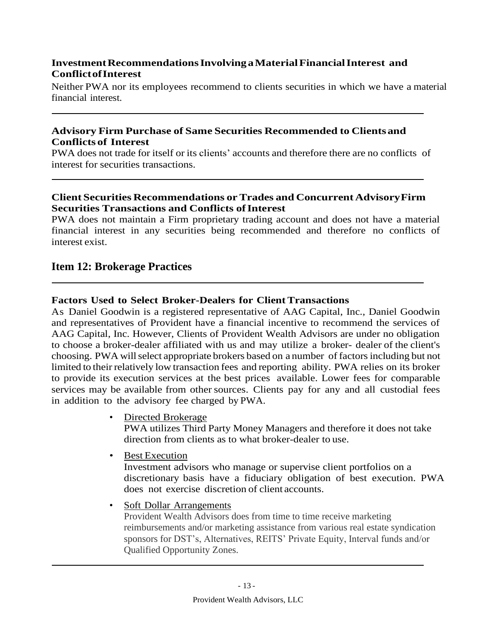### **InvestmentRecommendationsInvolvingaMaterialFinancialInterest and ConflictofInterest**

Neither PWA nor its employees recommend to clients securities in which we have a material financial interest.

### **Advisory Firm Purchase of Same Securities Recommended to Clientsand Conflicts of Interest**

PWA does not trade for itself or its clients' accounts and therefore there are no conflicts of interest for securities transactions.

### **Client Securities Recommendations orTrades and Concurrent AdvisoryFirm Securities Transactions** and **Conflicts** of **Interest**

PWA does not maintain a Firm proprietary trading account and does not have a material financial interest in any securities being recommended and therefore no conflicts of interest exist.

# <span id="page-12-0"></span>**Item 12: Brokerage Practices**

### **Factors Used to Select Broker-Dealers for Client Transactions**

As Daniel Goodwin is a registered representative of AAG Capital, Inc., Daniel Goodwin and representatives of Provident have a financial incentive to recommend the services of AAG Capital, Inc. However, Clients of Provident Wealth Advisors are under no obligation to choose a broker-dealer affiliated with us and may utilize a broker- dealer of the client's choosing. PWA willselect appropriate brokers based on a number of factorsincluding but not limited to their relatively low transaction fees and reporting ability. PWA relies on its broker to provide its execution services at the best prices available. Lower fees for comparable services may be available from other sources. Clients pay for any and all custodial fees in addition to the advisory fee charged by PWA.

- Directed Brokerage PWA utilizes Third Party Money Managers and therefore it does not take direction from clients as to what broker-dealer to use.
- Best Execution

Investment advisors who manage or supervise client portfolios on a discretionary basis have a fiduciary obligation of best execution. PWA does not exercise discretion of client accounts.

Soft Dollar Arrangements

Provident Wealth Advisors does from time to time receive marketing reimbursements and/or marketing assistance from various real estate syndication sponsors for DST's, Alternatives, REITS' Private Equity, Interval funds and/or Qualified Opportunity Zones.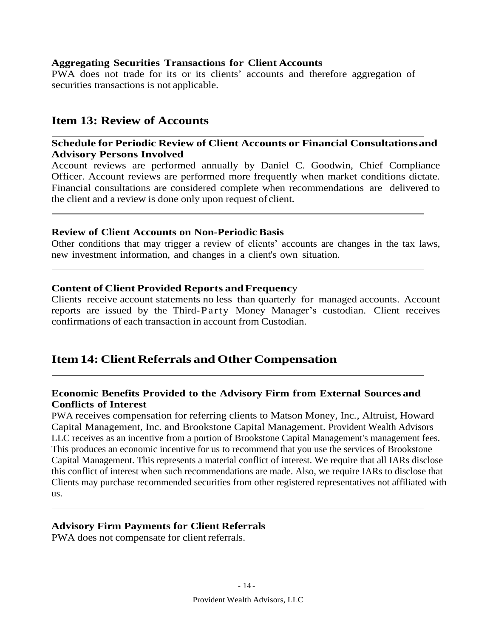#### **Aggregating Securities Transactions for Client Accounts**

PWA does not trade for its or its clients' accounts and therefore aggregation of securities transactions is not applicable.

### <span id="page-13-0"></span>**Item 13: Review of Accounts**

#### **Schedule for Periodic Review of Client Accounts or Financial Consultationsand Advisory Persons Involved**

Account reviews are performed annually by Daniel C. Goodwin, Chief Compliance Officer. Account reviews are performed more frequently when market conditions dictate. Financial consultations are considered complete when recommendations are delivered to the client and a review is done only upon request of client.

#### **Review of Client Accounts on Non-Periodic Basis**

Other conditions that may trigger a review of clients' accounts are changes in the tax laws, new investment information, and changes in a client's own situation.

#### **Content of Client Provided Reports andFrequenc**y

Clients receive account statements no less than quarterly for managed accounts. Account reports are issued by the Third-P arty Money Manager's custodian. Client receives confirmations of each transaction in account from Custodian.

# <span id="page-13-1"></span>**Item 14: Client Referrals and Other Compensation**

#### **Economic Benefits Provided to the Advisory Firm from External Sources and Conflicts of Interest**

PWA receives compensation for referring clients to Matson Money, Inc., Altruist, Howard Capital Management, Inc. and Brookstone Capital Management. Provident Wealth Advisors LLC receives as an incentive from a portion of Brookstone Capital Management's management fees. This produces an economic incentive for us to recommend that you use the services of Brookstone Capital Management. This represents a material conflict of interest. We require that all IARs disclose this conflict of interest when such recommendations are made. Also, we require IARs to disclose that Clients may purchase recommended securities from other registered representatives not affiliated with us.

#### **Advisory Firm Payments for Client Referrals**

<span id="page-13-2"></span>PWA does not compensate for client referrals.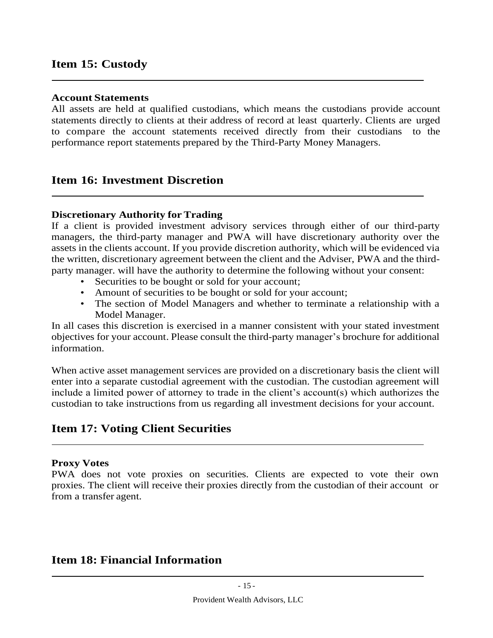# **Item 15: Custody**

### **Account Statements**

All assets are held at qualified custodians, which means the custodians provide account statements directly to clients at their address of record at least quarterly. Clients are urged to compare the account statements received directly from their custodians to the performance report statements prepared by the Third-Party Money Managers.

# <span id="page-14-0"></span>**Item 16: Investment Discretion**

### **Discretionary Authority for Trading**

If a client is provided investment advisory services through either of our third-party managers, the third-party manager and PWA will have discretionary authority over the assets in the clients account. If you provide discretion authority, which will be evidenced via the written, discretionary agreement between the client and the Adviser, PWA and the thirdparty manager. will have the authority to determine the following without your consent:

- Securities to be bought or sold for your account;
- Amount of securities to be bought or sold for your account;
- The section of Model Managers and whether to terminate a relationship with a Model Manager.

In all cases this discretion is exercised in a manner consistent with your stated investment objectives for your account. Please consult the third-party manager's brochure for additional information.

When active asset management services are provided on a discretionary basis the client will enter into a separate custodial agreement with the custodian. The custodian agreement will include a limited power of attorney to trade in the client's account(s) which authorizes the custodian to take instructions from us regarding all investment decisions for your account.

# <span id="page-14-1"></span>**Item 17: Voting Client Securities**

#### **Proxy Votes**

PWA does not vote proxies on securities. Clients are expected to vote their own proxies. The client will receive their proxies directly from the custodian of their account or from a transfer agent.

# <span id="page-14-2"></span>**Item 18: Financial Information**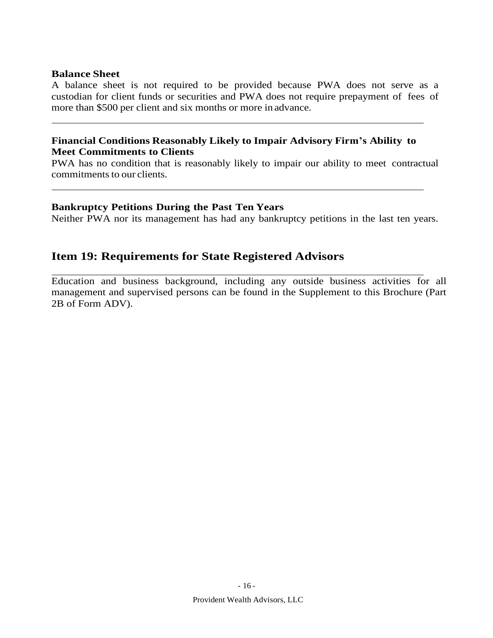### **Balance Sheet**

A balance sheet is not required to be provided because PWA does not serve as a custodian for client funds or securities and PWA does not require prepayment of fees of more than \$500 per client and six months or more in advance.

### **Financial Conditions Reasonably Likely to Impair Advisory Firm's Ability to Meet Commitments to Clients**

PWA has no condition that is reasonably likely to impair our ability to meet contractual commitments to our clients.

### **Bankruptcy Petitions During the Past Ten Years**

Neither PWA nor its management has had any bankruptcy petitions in the last ten years.

# **Item 19: Requirements for State Registered Advisors**

Education and business background, including any outside business activities for all management and supervised persons can be found in the Supplement to this Brochure (Part 2B of Form ADV).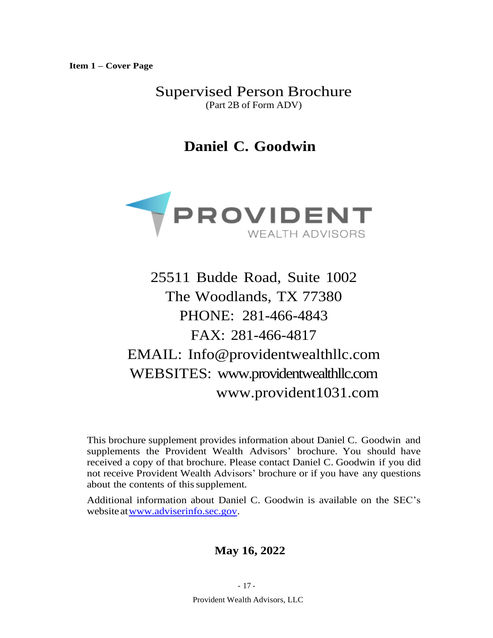**Item 1 – Cover Page**

Supervised Person Brochure (Part 2B of Form ADV)

**Daniel C. Goodwin**



25511 Budde Road, Suite 1002 The Woodlands, TX 77380 PHONE: 281-466-4843 FAX: 281-466-4817 EMAIL: [Info@providentwealthllc.com](mailto:Info@providentwealthllc.com) WEBSITES: www.providentwealthllc.com www.provident1031.com

This brochure supplement provides information about Daniel C. Goodwin and supplements the Provident Wealth Advisors' brochure. You should have received a copy of that brochure. Please contact Daniel C. Goodwin if you did not receive Provident Wealth Advisors' brochure or if you have any questions about the contents of this supplement.

Additional information about Daniel C. Goodwin is available on the SEC's website a[twww.adviserinfo.sec.gov.](http://www.adviserinfo.sec.gov/)

# **May 16, 2022**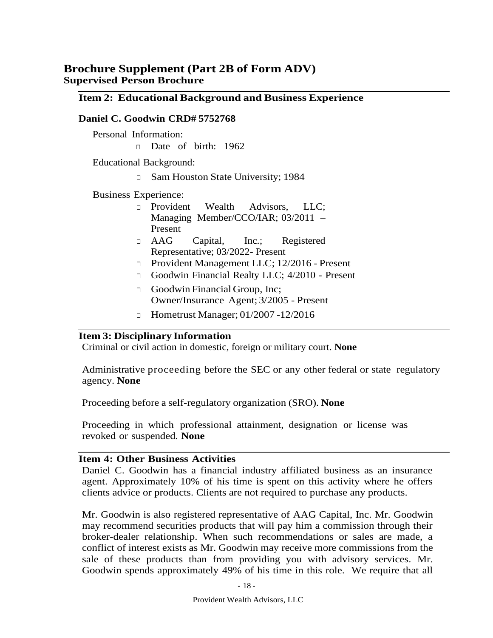# **Brochure Supplement (Part 2B of Form ADV) Supervised Person Brochure**

#### **Item 2: Educational Background and Business Experience**

#### **Daniel C. Goodwin CRD# 5752768**

Personal Information:

□ Date of birth: 1962

Educational Background:

□ Sam Houston State University; 1984

Business Experience:

- □ Provident Wealth Advisors, LLC; Managing Member/CCO/IAR; 03/2011 – Present
- □ AAG Capital, Inc.; Registered Representative; 03/2022- Present
- □ Provident Management LLC; 12/2016 Present
- □ Goodwin Financial Realty LLC; 4/2010 Present
- □ Goodwin Financial Group, Inc; Owner/Insurance Agent; 3/2005 - Present
- □ Hometrust Manager; 01/2007 -12/2016

#### **Item 3: Disciplinary Information**

Criminal or civil action in domestic, foreign or military court. **None**

Administrative proceeding before the SEC or any other federal or state regulatory agency. **None**

Proceeding before a self-regulatory organization (SRO). **None**

Proceeding in which professional attainment, designation or license was revoked or suspended. **None**

#### **Item 4: Other Business Activities**

Daniel C. Goodwin has a financial industry affiliated business as an insurance agent. Approximately 10% of his time is spent on this activity where he offers clients advice or products. Clients are not required to purchase any products.

Mr. Goodwin is also registered representative of AAG Capital, Inc. Mr. Goodwin may recommend securities products that will pay him a commission through their broker-dealer relationship. When such recommendations or sales are made, a conflict of interest exists as Mr. Goodwin may receive more commissions from the sale of these products than from providing you with advisory services. Mr. Goodwin spends approximately 49% of his time in this role. We require that all